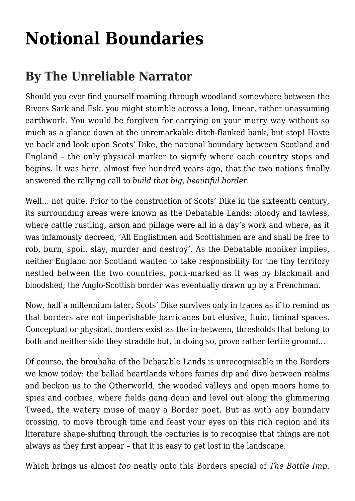## **[Notional Boundaries](https://www.thebottleimp.org.uk/2022/05/notional-boundaries/)**

## **By The Unreliable Narrator**

Should you ever find yourself roaming through woodland somewhere between the Rivers Sark and Esk, you might stumble across a long, linear, rather unassuming earthwork. You would be forgiven for carrying on your merry way without so much as a glance down at the unremarkable ditch-flanked bank, but stop! Haste ye back and look upon Scots' Dike, the national boundary between Scotland and England – the only physical marker to signify where each country stops and begins. It was here, almost five hundred years ago, that the two nations finally answered the rallying call to *build that big, beautiful border*.

Well... not quite. Prior to the construction of Scots' Dike in the sixteenth century, its surrounding areas were known as the Debatable Lands: bloody and lawless, where cattle rustling, arson and pillage were all in a day's work and where, as it was infamously decreed, 'All Englishmen and Scottishmen are and shall be free to rob, burn, spoil, slay, murder and destroy'. As the Debatable moniker implies, neither England nor Scotland wanted to take responsibility for the tiny territory nestled between the two countries, pock-marked as it was by blackmail and bloodshed; the Anglo-Scottish border was eventually drawn up by a Frenchman.

Now, half a millennium later, Scots' Dike survives only in traces as if to remind us that borders are not imperishable barricades but elusive, fluid, liminal spaces. Conceptual or physical, borders exist as the in-between, thresholds that belong to both and neither side they straddle but, in doing so, prove rather fertile ground…

Of course, the brouhaha of the Debatable Lands is unrecognisable in the Borders we know today: the ballad heartlands where fairies dip and dive between realms and beckon us to the Otherworld, the wooded valleys and open moors home to spies and corbies, where fields gang doun and level out along the glimmering Tweed, the watery muse of many a Border poet. But as with any boundary crossing, to move through time and feast your eyes on this rich region and its literature shape-shifting through the centuries is to recognise that things are not always as they first appear – that it is easy to get lost in the landscape.

Which brings us almost *too* neatly onto this Borders special of *The Bottle Imp*.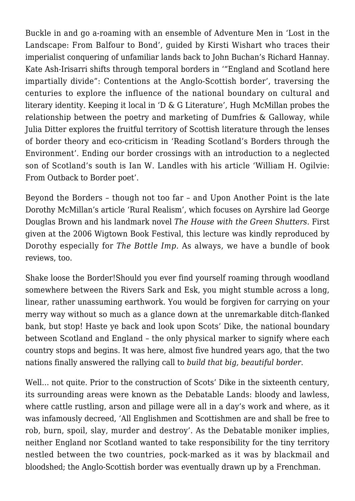Buckle in and go a-roaming with an ensemble of Adventure Men in '[Lost in the](https://www.thebottleimp.org.uk/2022/05/lost-in-the-landscape/) [Landscape: From Balfour to Bond'](https://www.thebottleimp.org.uk/2022/05/lost-in-the-landscape/), guided by Kirsti Wishart who traces their imperialist conquering of unfamiliar lands back to John Buchan's Richard Hannay. Kate Ash-Irisarri shifts through temporal borders in ['"England and Scotland here](https://www.thebottleimp.org.uk/2022/05/contentions-at-the-anglo-scottish-border/) [impartially divide": Contentions at the Anglo-Scottish border](https://www.thebottleimp.org.uk/2022/05/contentions-at-the-anglo-scottish-border/)', traversing the centuries to explore the influence of the national boundary on cultural and literary identity. Keeping it local in ['D & G Literature'](https://www.thebottleimp.org.uk/2022/05/d-g-literature/), Hugh McMillan probes the relationship between the poetry and marketing of Dumfries & Galloway, while Julia Ditter explores the fruitful territory of Scottish literature through the lenses of border theory and eco-criticism in ['Reading Scotland's Borders through the](https://www.thebottleimp.org.uk/2022/05/reading-scotlands-borders/) [Environment](https://www.thebottleimp.org.uk/2022/05/reading-scotlands-borders/)'. Ending our border crossings with an introduction to a neglected son of Scotland's south is Ian W. Landles with his article '[William H. Ogilvie:](https://www.thebottleimp.org.uk/2022/05/william-h-ogilvie/) [From Outback to Border poet](https://www.thebottleimp.org.uk/2022/05/william-h-ogilvie/)'.

Beyond the Borders – though not too far – and Upon Another Point is the late Dorothy McMillan's article '[Rural Realism](https://www.thebottleimp.org.uk/2022/05/rural-realism/)', which focuses on Ayrshire lad George Douglas Brown and his landmark novel *The House with the Green Shutters.* First given at the 2006 Wigtown Book Festival, this lecture was kindly reproduced by Dorothy especially for *The Bottle Imp*. As always, we have a bundle of [book](https://www.thebottleimp.org.uk/issues/issue-29/?cat=25) [reviews](https://www.thebottleimp.org.uk/issues/issue-29/?cat=25), too.

Shake loose the Border!Should you ever find yourself roaming through woodland somewhere between the Rivers Sark and Esk, you might stumble across a long, linear, rather unassuming earthwork. You would be forgiven for carrying on your merry way without so much as a glance down at the unremarkable ditch-flanked bank, but stop! Haste ye back and look upon Scots' Dike, the national boundary between Scotland and England – the only physical marker to signify where each country stops and begins. It was here, almost five hundred years ago, that the two nations finally answered the rallying call to *build that big, beautiful border*.

Well... not quite. Prior to the construction of Scots' Dike in the sixteenth century, its surrounding areas were known as the Debatable Lands: bloody and lawless, where cattle rustling, arson and pillage were all in a day's work and where, as it was infamously decreed, 'All Englishmen and Scottishmen are and shall be free to rob, burn, spoil, slay, murder and destroy'. As the Debatable moniker implies, neither England nor Scotland wanted to take responsibility for the tiny territory nestled between the two countries, pock-marked as it was by blackmail and bloodshed; the Anglo-Scottish border was eventually drawn up by a Frenchman.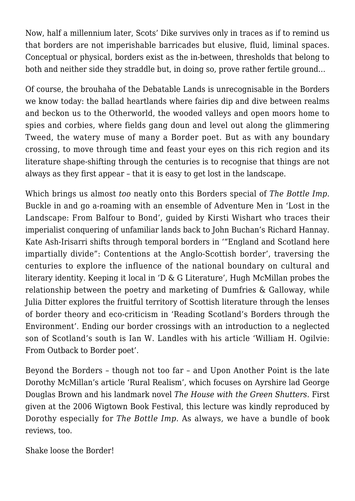Now, half a millennium later, Scots' Dike survives only in traces as if to remind us that borders are not imperishable barricades but elusive, fluid, liminal spaces. Conceptual or physical, borders exist as the in-between, thresholds that belong to both and neither side they straddle but, in doing so, prove rather fertile ground…

Of course, the brouhaha of the Debatable Lands is unrecognisable in the Borders we know today: the ballad heartlands where fairies dip and dive between realms and beckon us to the Otherworld, the wooded valleys and open moors home to spies and corbies, where fields gang doun and level out along the glimmering Tweed, the watery muse of many a Border poet. But as with any boundary crossing, to move through time and feast your eyes on this rich region and its literature shape-shifting through the centuries is to recognise that things are not always as they first appear – that it is easy to get lost in the landscape.

Which brings us almost *too* neatly onto this Borders special of *The Bottle Imp*. Buckle in and go a-roaming with an ensemble of Adventure Men in '[Lost in the](https://www.thebottleimp.org.uk/2022/05/lost-in-the-landscape/) [Landscape: From Balfour to Bond'](https://www.thebottleimp.org.uk/2022/05/lost-in-the-landscape/), guided by Kirsti Wishart who traces their imperialist conquering of unfamiliar lands back to John Buchan's Richard Hannay. Kate Ash-Irisarri shifts through temporal borders in ['"England and Scotland here](https://www.thebottleimp.org.uk/2022/05/contentions-at-the-anglo-scottish-border/) [impartially divide": Contentions at the Anglo-Scottish border](https://www.thebottleimp.org.uk/2022/05/contentions-at-the-anglo-scottish-border/)', traversing the centuries to explore the influence of the national boundary on cultural and literary identity. Keeping it local in ['D & G Literature'](https://www.thebottleimp.org.uk/2022/05/d-g-literature/), Hugh McMillan probes the relationship between the poetry and marketing of Dumfries & Galloway, while Julia Ditter explores the fruitful territory of Scottish literature through the lenses of border theory and eco-criticism in ['Reading Scotland's Borders through the](https://www.thebottleimp.org.uk/2022/05/reading-scotlands-borders/) [Environment](https://www.thebottleimp.org.uk/2022/05/reading-scotlands-borders/)'. Ending our border crossings with an introduction to a neglected son of Scotland's south is Ian W. Landles with his article '[William H. Ogilvie:](https://www.thebottleimp.org.uk/2022/05/william-h-ogilvie/) [From Outback to Border poet](https://www.thebottleimp.org.uk/2022/05/william-h-ogilvie/)'.

Beyond the Borders – though not too far – and Upon Another Point is the late Dorothy McMillan's article '[Rural Realism](https://www.thebottleimp.org.uk/2022/05/rural-realism/)', which focuses on Ayrshire lad George Douglas Brown and his landmark novel *The House with the Green Shutters.* First given at the 2006 Wigtown Book Festival, this lecture was kindly reproduced by Dorothy especially for *The Bottle Imp*. As always, we have a bundle of [book](https://www.thebottleimp.org.uk/issues/issue-29/?cat=25) [reviews](https://www.thebottleimp.org.uk/issues/issue-29/?cat=25), too.

Shake loose the Border!